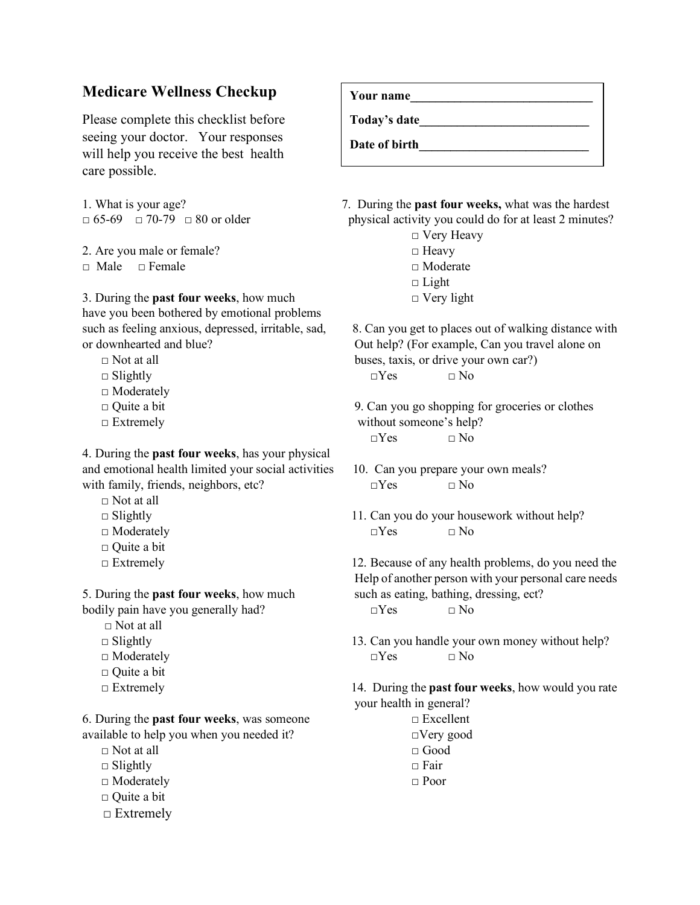## **Medicare Wellness Checkup**

Please complete this checklist before seeing your doctor. Your responses will help you receive the best health care possible.

2. Are you male or female?  $\Box$  Heavy □ Male □ Female □ □ Noderate

3. During the **past four weeks**, how much  $\Box$  Very light have you been bothered by emotional problems

- 
- 
- □ Moderately
- 
- 

4. During the **past four weeks**, has your physical and emotional health limited your social activities 10. Can you prepare your own meals? with family, friends, neighbors, etc? □Yes □ No

- □ Not at all
- 
- 
- □ Quite a bit
- 

bodily pain have you generally had? □Yes □ No

- $\Box$  Not at all
- 
- 
- □ Quite a bit
- 

6. During the **past four weeks**, was someone □ Excellent available to help you when you needed it? □Very good

- $\Box$  Not at all  $\Box$  Good
- □ Slightly □ Fair
- □ Moderately □ Poor
- □ Quite a bit
- □ Extremely

**Your name\_\_\_\_\_\_\_\_\_\_\_\_\_\_\_\_\_\_\_\_\_\_\_\_\_\_\_\_\_ Today's date\_\_\_\_\_\_\_\_\_\_\_\_\_\_\_\_\_\_\_\_\_\_\_\_\_\_\_** Date of birth

1. What is your age? 7. During the **past four weeks,** what was the hardest  $\Box$  65-69  $\Box$  70-79  $\Box$  80 or older physical activity you could do for at least 2 minutes?

- □ Very Heavy
- $\Box$  Light
- 

such as feeling anxious, depressed, irritable, sad, 8. Can you get to places out of walking distance with or downhearted and blue? Out help? (For example, Can you travel alone on  $\Box$  Not at all buses, taxis, or drive your own car?)

 $\Box$  Slightly  $\Box$  No

 $\Box$  Quite a bit  $\Box$  Quite a bit 9. Can you go shopping for groceries or clothes  $\Box$  Extremely without someone's help?  $\neg Yes \qquad \neg No$ 

- 
- $\Box$  Slightly  $\Box$  Slightly  $\Box$  11. Can you do your housework without help? □ Moderately □Yes □ No

□ Extremely 12. Because of any health problems, do you need the Help of another person with your personal care needs 5. During the **past four weeks**, how much such as eating, bathing, dressing, ect?

□ Slightly 13. Can you handle your own money without help? □ Moderately □ No

 □ Extremely 14. During the **past four weeks**, how would you rate your health in general?